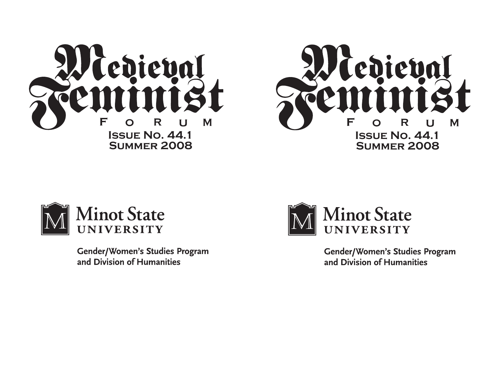



**Gender/Women's Studies Program** and Division of Humanities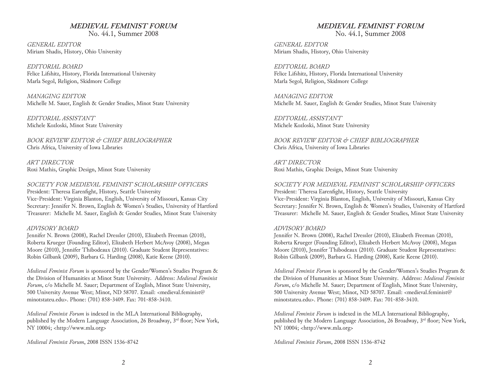## *MEDIEVAL FEMINIST FORUM* No. 44.1, Summer 2008

*GENERAL EDITOR* Miriam Shadis, History, Ohio University

*EDITORIAL BOARD* Felice Lifshitz, History, Florida International University Marla Segol, Religion, Skidmore College

*MANAGING EDITOR* Michelle M. Sauer, English & Gender Studies, Minot State University

*EDITORIAL ASSISTANT* Michele Kozloski, Minot State University

*BOOK REVIEW EDITOR & CHIEF BIBLIOGRAPHER* Chris Africa, University of Iowa Libraries

*ART DIRECTOR* Roxi Mathis, Graphic Design, Minot State University

*SOCIETY FOR MEDIEVAL FEMINIST SCHOLARSHIP OFFICERS* President: Theresa Earenfight, History, Seattle University Vice-President: Virginia Blanton, English, University of Missouri, Kansas City Secretary: Jennifer N. Brown, English & Women's Studies, University of Hartford Treasurer: Michelle M. Sauer, English & Gender Studies, Minot State University

## *ADVISORY BOARD*

Jennifer N. Brown (2008), Rachel Dressler (2010), Elizabeth Freeman (2010), Roberta Krueger (Founding Editor), Elizabeth Herbert McAvoy (2008), Megan Moore (2010), Jennifer Thibodeaux (2010). Graduate Student Representatives: Robin Gilbank (2009), Barbara G. Harding (2008), Katie Keene (2010).

*Medieval Feminist Forum* is sponsored by the Gender/Women's Studies Program & the Division of Humanities at Minot State University. Address: *Medieval Feminist Forum*, c/o Michelle M. Sauer; Department of English, Minot State University, 500 University Avenue West; Minot, ND 58707. Email: <medieval.feminist@ minotstateu.edu>. Phone: (701) 858-3409. Fax: 701-858-3410.

*Medieval Feminist Forum* is indexed in the MLA International Bibliography, published by the Modern Language Association, 26 Broadway, 3<sup>rd</sup> floor; New York, NY 10004; <http://www.mla.org>

*Medieval Feminist Forum*, 2008 ISSN 1536‑8742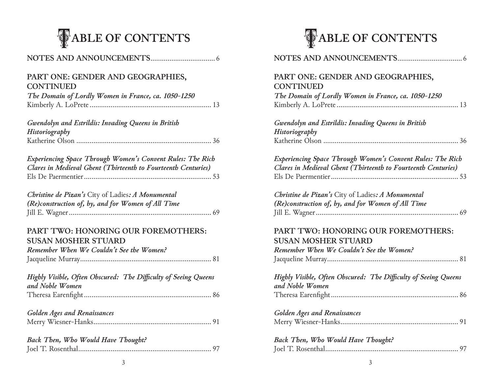

| PART ONE: GENDER AND GEOGRAPHIES,<br><b>CONTINUED</b>                                                                              |
|------------------------------------------------------------------------------------------------------------------------------------|
| The Domain of Lordly Women in France, ca. 1050-1250                                                                                |
| Gwendolyn and Estrildis: Invading Queens in British<br>Historiography                                                              |
|                                                                                                                                    |
| <b>Experiencing Space Through Women's Convent Rules: The Rich</b><br>Clares in Medieval Ghent (Thirteenth to Fourteenth Centuries) |
|                                                                                                                                    |
| Christine de Pizan's City of Ladies: A Monumental<br>(Re)construction of, by, and for Women of All Time                            |
| PART TWO: HONORING OUR FOREMOTHERS:<br><b>SUSAN MOSHER STUARD</b>                                                                  |
| Remember When We Couldn't See the Women?                                                                                           |
| Highly Visible, Often Obscured: The Difficulty of Seeing Queens<br>and Noble Women                                                 |
|                                                                                                                                    |
| <b>Golden Ages and Renaissances</b>                                                                                                |
|                                                                                                                                    |
| Back Then, Who Would Have Thought?                                                                                                 |
|                                                                                                                                    |